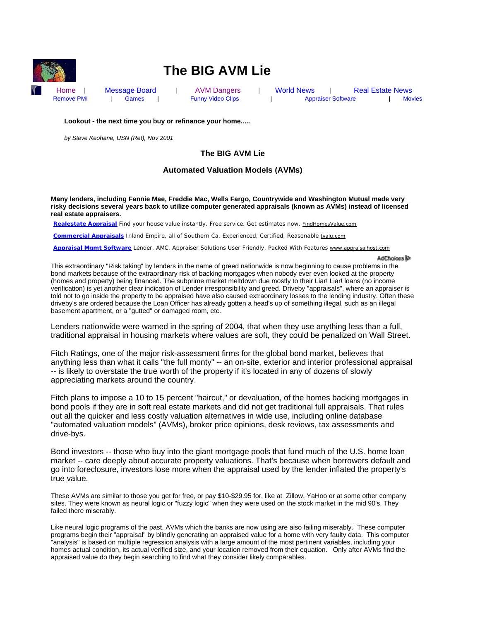

# **The BIG AVM Lie**

Home | Message Board | AVM Dangers | World News | Real Estate News Remove PMI | Games | Funny Video Clips | Appraiser Software | Movies

**Lookout - the next time you buy or refinance your home.....**

*by Steve Keohane, USN (Ret), Nov 2001*

# **The BIG AVM Lie**

# **Automated Valuation Models (AVMs)**

**Many lenders, including Fannie Mae, Freddie Mac, Wells Fargo, Countrywide and Washington Mutual made very risky decisions several years back to utilize computer generated appraisals (known as AVMs) instead of licensed real estate appraisers.**

**Realestate Appraisal** Find your house value instantly. Free service. Get estimates now. FindHomesValue.com

**Commercial Appraisals** Inland Empire, all of Southern Ca. Experienced, Certified, Reasonable tvalu.com

**Appraisal Mgmt Software** Lender, AMC, Appraiser Solutions User Friendly, Packed With Features www.appraisalhost.com

AdChoices<sup>D</sup>

This extraordinary "Risk taking" by lenders in the name of greed nationwide is now beginning to cause problems in the bond markets because of the extraordinary risk of backing mortgages when nobody ever even looked at the property (homes and property) being financed. The subprime market meltdown due mostly to their Liar! Liar! loans (no income verification) is yet another clear indication of Lender irresponsibility and greed. Driveby "appraisals", where an appraiser is told not to go inside the property to be appraised have also caused extraordinary losses to the lending industry. Often these driveby's are ordered because the Loan Officer has already gotten a head's up of something illegal, such as an illegal basement apartment, or a "gutted" or damaged room, etc.

Lenders nationwide were warned in the spring of 2004, that when they use anything less than a full, traditional appraisal in housing markets where values are soft, they could be penalized on Wall Street.

Fitch Ratings, one of the major risk-assessment firms for the global bond market, believes that anything less than what it calls "the full monty" -- an on-site, exterior and interior professional appraisal -- is likely to overstate the true worth of the property if it's located in any of dozens of slowly appreciating markets around the country.

Fitch plans to impose a 10 to 15 percent "haircut," or devaluation, of the homes backing mortgages in bond pools if they are in soft real estate markets and did not get traditional full appraisals. That rules out all the quicker and less costly valuation alternatives in wide use, including online database "automated valuation models" (AVMs), broker price opinions, desk reviews, tax assessments and drive-bys.

Bond investors -- those who buy into the giant mortgage pools that fund much of the U.S. home loan market -- care deeply about accurate property valuations. That's because when borrowers default and go into foreclosure, investors lose more when the appraisal used by the lender inflated the property's true value.

These AVMs are similar to those you get for free, or pay \$10-\$29.95 for, like at Zillow, YaHoo or at some other company sites. They were known as neural logic or "fuzzy logic" when they were used on the stock market in the mid 90's. They failed there miserably.

Like neural logic programs of the past, AVMs which the banks are now using are also failing miserably. These computer programs begin their "appraisal" by blindly generating an appraised value for a home with very faulty data. This computer "analysis" is based on multiple regression analysis with a large amount of the most pertinent variables, including your homes actual condition, its actual verified size, and your location removed from their equation. Only after AVMs find the appraised value do they begin searching to find what they consider likely comparables.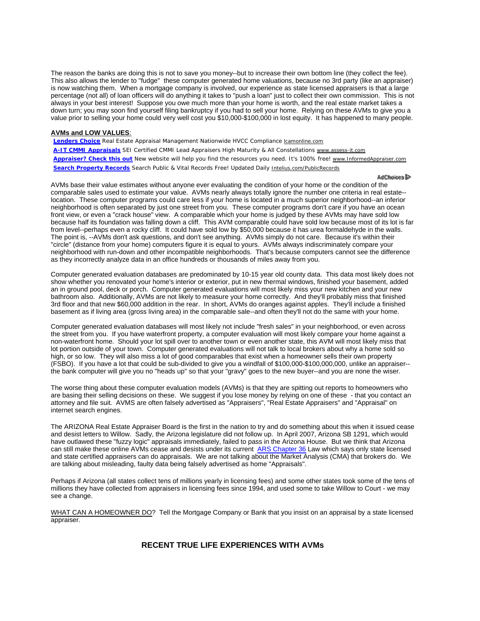The reason the banks are doing this is not to save you money--but to increase their own bottom line (they collect the fee). This also allows the lender to "fudge" these computer generated home valuations, because no 3rd party (like an appraiser) is now watching them. When a mortgage company is involved, our experience as state licensed appraisers is that a large percentage (not all) of loan officers will do anything it takes to "push a loan" just to collect their own commission. This is not always in your best interest! Suppose you owe much more than your home is worth, and the real estate market takes a down turn; you may soon find yourself filing bankruptcy if you had to sell your home. Relying on these AVMs to give you a value prior to selling your home could very well cost you \$10,000-\$100,000 in lost equity. It has happened to many people.

# **AVMs and LOW VALUES**:

**Lenders Choice** Real Estate Appraisal Management Nationwide HVCC Compliance lcamonline.com

**A-IT CMMI Appraisals** SEI Certified CMMI Lead Appraisers High Maturity & All Constellations www.assess-it.com **Appraiser? Check this out** New website will help you find the resources you need. It's 100% free! www.InformedAppraiser.com **Search Property Records** Search Public & Vital Records Free! Updated Daily Intelius.com/PublicRecords

#### AdChoices D

AVMs base their value estimates without anyone ever evaluating the condition of your home or the condition of the comparable sales used to estimate your value. AVMs nearly always totally ignore the number one criteria in real estate- location. These computer programs could care less if your home is located in a much superior neighborhood--an inferior neighborhood is often separated by just one street from you. These computer programs don't care if you have an ocean front view, or even a "crack house" view. A comparable which your home is judged by these AVMs may have sold low because half its foundation was falling down a cliff. This AVM comparable could have sold low because most of its lot is far from level--perhaps even a rocky cliff. It could have sold low by \$50,000 because it has urea formaldehyde in the walls. The point is, --AVMs don't ask questions, and don't see anything. AVMs simply do not care. Because it's within their "circle" (distance from your home) computers figure it is equal to yours. AVMs always indiscriminately compare your neighborhood with run-down and other incompatible neighborhoods. That's because computers cannot see the difference as they incorrectly analyze data in an office hundreds or thousands of miles away from you.

Computer generated evaluation databases are predominated by 10-15 year old county data. This data most likely does not show whether you renovated your home's interior or exterior, put in new thermal windows, finished your basement, added an in ground pool, deck or porch. Computer generated evaluations will most likely miss your new kitchen and your new bathroom also. Additionally, AVMs are not likely to measure your home correctly. And they'll probably miss that finished 3rd floor and that new \$60,000 addition in the rear. In short, AVMs do oranges against apples. They'll include a finished basement as if living area (gross living area) in the comparable sale--and often they'll not do the same with your home.

Computer generated evaluation databases will most likely not include "fresh sales" in your neighborhood, or even across the street from you. If you have waterfront property, a computer evaluation will most likely compare your home against a non-waterfront home. Should your lot spill over to another town or even another state, this AVM will most likely miss that lot portion outside of your town. Computer generated evaluations will not talk to local brokers about why a home sold so high, or so low. They will also miss a lot of good comparables that exist when a homeowner sells their own property (FSBO). If you have a lot that could be sub-divided to give you a windfall of \$100,000-\$100,000,000, unlike an appraiser- the bank computer will give you no "heads up" so that your "gravy" goes to the new buyer--and you are none the wiser.

The worse thing about these computer evaluation models (AVMs) is that they are spitting out reports to homeowners who are basing their selling decisions on these. We suggest if you lose money by relying on one of these - that you contact an attorney and file suit. AVMS are often falsely advertised as "Appraisers", "Real Estate Appraisers" and "Appraisal" on internet search engines.

The ARIZONA Real Estate Appraiser Board is the first in the nation to try and do something about this when it issued cease and desist letters to Willow. Sadly, the Arizona legislature did not follow up. In April 2007, Arizona SB 1291, which would have outlawed these "fuzzy logic" appraisals immediately, failed to pass in the Arizona House. But we think that Arizona can still make these online AVMs cease and desists under its current ARS Chapter 36 Law which says only state licensed and state certified appraisers can do appraisals. We are not talking about the Market Analysis (CMA) that brokers do. We are talking about misleading, faulty data being falsely advertised as home "Appraisals".

Perhaps if Arizona (all states collect tens of millions yearly in licensing fees) and some other states took some of the tens of millions they have collected from appraisers in licensing fees since 1994, and used some to take Willow to Court - we may see a change.

WHAT CAN A HOMEOWNER DO? Tell the Mortgage Company or Bank that you insist on an appraisal by a state licensed appraiser.

# **RECENT TRUE LIFE EXPERIENCES WITH AVMs**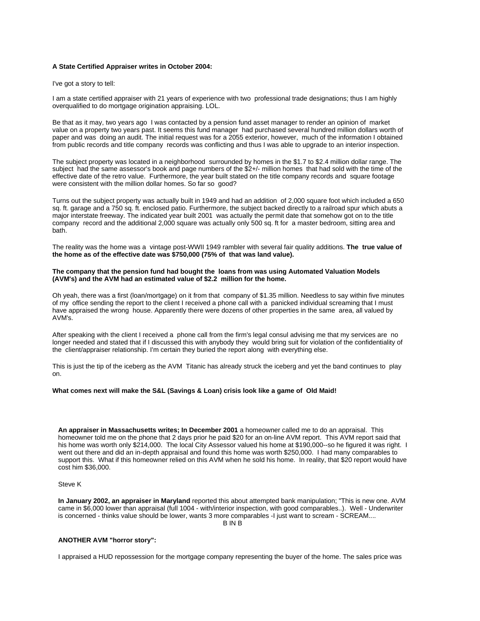## **A State Certified Appraiser writes in October 2004:**

I've got a story to tell:

I am a state certified appraiser with 21 years of experience with two professional trade designations; thus I am highly overqualified to do mortgage origination appraising. LOL.

Be that as it may, two years ago I was contacted by a pension fund asset manager to render an opinion of market value on a property two years past. It seems this fund manager had purchased several hundred million dollars worth of paper and was doing an audit. The initial request was for a 2055 exterior, however, much of the information I obtained from public records and title company records was conflicting and thus I was able to upgrade to an interior inspection.

The subject property was located in a neighborhood surrounded by homes in the \$1.7 to \$2.4 million dollar range. The subject had the same assessor's book and page numbers of the \$2+/- million homes that had sold with the time of the effective date of the retro value. Furthermore, the year built stated on the title company records and square footage were consistent with the million dollar homes. So far so good?

Turns out the subject property was actually built in 1949 and had an addition of 2,000 square foot which included a 650 sq. ft. garage and a 750 sq. ft. enclosed patio. Furthermore, the subject backed directly to a railroad spur which abuts a major interstate freeway. The indicated year built 2001 was actually the permit date that somehow got on to the title company record and the additional 2,000 square was actually only 500 sq. ft for a master bedroom, sitting area and bath.

The reality was the home was a vintage post-WWII 1949 rambler with several fair quality additions. **The true value of the home as of the effective date was \$750,000 (75% of that was land value).** 

## **The company that the pension fund had bought the loans from was using Automated Valuation Models (AVM's) and the AVM had an estimated value of \$2.2 million for the home.**

Oh yeah, there was a first (loan/mortgage) on it from that company of \$1.35 million. Needless to say within five minutes of my office sending the report to the client I received a phone call with a panicked individual screaming that I must have appraised the wrong house. Apparently there were dozens of other properties in the same area, all valued by AVM's.

After speaking with the client I received a phone call from the firm's legal consul advising me that my services are no longer needed and stated that if I discussed this with anybody they would bring suit for violation of the confidentiality of the client/appraiser relationship. I'm certain they buried the report along with everything else.

This is just the tip of the iceberg as the AVM Titanic has already struck the iceberg and yet the band continues to play on.

## **What comes next will make the S&L (Savings & Loan) crisis look like a game of Old Maid!**

**An appraiser in Massachusetts writes; In December 2001** a homeowner called me to do an appraisal. This homeowner told me on the phone that 2 days prior he paid \$20 for an on-line AVM report. This AVM report said that his home was worth only \$214,000. The local City Assessor valued his home at \$190,000--so he figured it was right. I went out there and did an in-depth appraisal and found this home was worth \$250,000. I had many comparables to support this. What if this homeowner relied on this AVM when he sold his home. In reality, that \$20 report would have cost him \$36,000.

## Steve K

**In January 2002, an appraiser in Maryland** reported this about attempted bank manipulation; "This is new one. AVM came in \$6,000 lower than appraisal (full 1004 - with/interior inspection, with good comparables..). Well - Underwriter is concerned - thinks value should be lower, wants 3 more comparables -I just want to scream - SCREAM.... B IN B

#### **ANOTHER AVM "horror story":**

I appraised a HUD repossession for the mortgage company representing the buyer of the home. The sales price was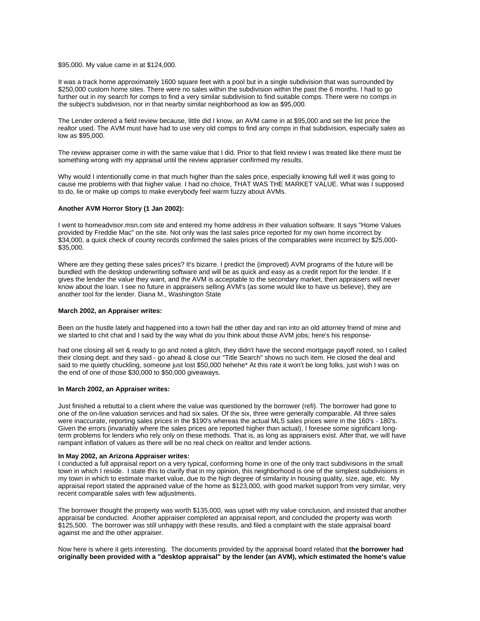#### \$95,000. My value came in at \$124,000.

It was a track home approximately 1600 square feet with a pool but in a single subdivision that was surrounded by \$250,000 custom home sites. There were no sales within the subdivision within the past the 6 months. I had to go further out in my search for comps to find a very similar subdivision to find suitable comps. There were no comps in the subject's subdivision, nor in that nearby similar neighborhood as low as \$95,000.

The Lender ordered a field review because, little did I know, an AVM came in at \$95,000 and set the list price the realtor used. The AVM must have had to use very old comps to find any comps in that subdivision, especially sales as low as \$95,000.

The review appraiser come in with the same value that I did. Prior to that field review I was treated like there must be something wrong with my appraisal until the review appraiser confirmed my results.

Why would I intentionally come in that much higher than the sales price, especially knowing full well it was going to cause me problems with that higher value. I had no choice, THAT WAS THE MARKET VALUE. What was I supposed to do, lie or make up comps to make everybody feel warm fuzzy about AVMs.

#### **Another AVM Horror Story (1 Jan 2002):**

I went to homeadvisor.msn.com site and entered my home address in their valuation software. It says "Home Values provided by Freddie Mac" on the site. Not only was the last sales price reported for my own home incorrect by \$34,000, a quick check of county records confirmed the sales prices of the comparables were incorrect by \$25,000- \$35,000.

Where are they getting these sales prices? It's bizarre. I predict the (improved) AVM programs of the future will be bundled with the desktop underwriting software and will be as quick and easy as a credit report for the lender. If it gives the lender the value they want, and the AVM is acceptable to the secondary market, then appraisers will never know about the loan. I see no future in appraisers selling AVM's (as some would like to have us believe), they are another tool for the lender. Diana M., Washington State

# **March 2002, an Appraiser writes:**

Been on the hustle lately and happened into a town hall the other day and ran into an old attorney friend of mine and we started to chit chat and I said by the way what do you think about those AVM jobs; here's his response-

had one closing all set & ready to go and noted a glitch, they didn't have the second mortgage payoff noted, so I called their closing dept. and they said - go ahead & close our "Title Search" shows no such item. He closed the deal and said to me quietly chuckling, someone just lost \$50,000 hehehe\* At this rate it won't be long folks, just wish I was on the end of one of those \$30,000 to \$50,000 giveaways.

# **In March 2002, an Appraiser writes:**

Just finished a rebuttal to a client where the value was questioned by the borrower (refi). The borrower had gone to one of the on-line valuation services and had six sales. Of the six, three were generally comparable. All three sales were inaccurate, reporting sales prices in the \$190's whereas the actual MLS sales prices were in the 160's - 180's. Given the errors (invariably where the sales prices are reported higher than actual), I foresee some significant longterm problems for lenders who rely only on these methods. That is, as long as appraisers exist. After that, we will have rampant inflation of values as there will be no real check on realtor and lender actions.

# **In May 2002, an Arizona Appraiser writes:**

I conducted a full appraisal report on a very typical, conforming home in one of the only tract subdivisions in the small town in which I reside. I state this to clarify that in my opinion, this neighborhood is one of the simplest subdivisions in my town in which to estimate market value, due to the high degree of similarity in housing quality, size, age, etc. My appraisal report stated the appraised value of the home as \$123,000, with good market support from very similar, very recent comparable sales with few adjustments.

The borrower thought the property was worth \$135,000, was upset with my value conclusion, and insisted that another appraisal be conducted. Another appraiser completed an appraisal report, and concluded the property was worth \$125,500. The borrower was still unhappy with these results, and filed a complaint with the state appraisal board against me and the other appraiser.

Now here is where it gets interesting. The documents provided by the appraisal board related that **the borrower had originally been provided with a "desktop appraisal" by the lender (an AVM), which estimated the home's value**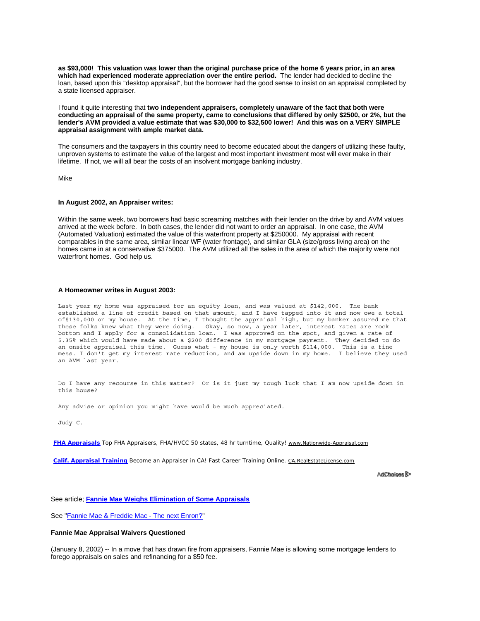**as \$93,000! This valuation was lower than the original purchase price of the home 6 years prior, in an area which had experienced moderate appreciation over the entire period.** The lender had decided to decline the loan, based upon this "desktop appraisal", but the borrower had the good sense to insist on an appraisal completed by a state licensed appraiser.

I found it quite interesting that **two independent appraisers, completely unaware of the fact that both were conducting an appraisal of the same property, came to conclusions that differed by only \$2500, or 2%, but the lender's AVM provided a value estimate that was \$30,000 to \$32,500 lower! And this was on a VERY SIMPLE appraisal assignment with ample market data.**

The consumers and the taxpayers in this country need to become educated about the dangers of utilizing these faulty, unproven systems to estimate the value of the largest and most important investment most will ever make in their lifetime. If not, we will all bear the costs of an insolvent mortgage banking industry.

Mike

#### **In August 2002, an Appraiser writes:**

Within the same week, two borrowers had basic screaming matches with their lender on the drive by and AVM values arrived at the week before. In both cases, the lender did not want to order an appraisal. In one case, the AVM (Automated Valuation) estimated the value of this waterfront property at \$250000. My appraisal with recent comparables in the same area, similar linear WF (water frontage), and similar GLA (size/gross living area) on the homes came in at a conservative \$375000. The AVM utilized all the sales in the area of which the majority were not waterfront homes. God help us.

# **A Homeowner writes in August 2003:**

Last year my home was appraised for an equity loan, and was valued at \$142,000. The bank established a line of credit based on that amount, and I have tapped into it and now owe a total of\$130,000 on my house. At the time, I thought the appraisal high, but my banker assured me that these folks knew what they were doing. Okay, so now, a year later, interest rates are rock bottom and I apply for a consolidation loan. I was approved on the spot, and given a rate of 5.35% which would have made about a \$200 difference in my mortgage payment. They decided to do an onsite appraisal this time. Guess what - my house is only worth \$114,000. This is a fine mess. I don't get my interest rate reduction, and am upside down in my home. I believe they used an AVM last year.

Do I have any recourse in this matter? Or is it just my tough luck that I am now upside down in this house?

Any advise or opinion you might have would be much appreciated.

Judy C.

**FHA Appraisals** Top FHA Appraisers, FHA/HVCC 50 states, 48 hr turntime, Quality! www.Nationwide-Appraisal.com

**Calif. Appraisal Training** Become an Appraiser in CA! Fast Career Training Online. CA.RealEstateLicense.com

AdChoices<sup>D</sup>

See article; **Fannie Mae Weighs Elimination of Some Appraisals**

See "Fannie Mae & Freddie Mac - The next Enron?"

#### **Fannie Mae Appraisal Waivers Questioned**

(January 8, 2002) -- In a move that has drawn fire from appraisers, Fannie Mae is allowing some mortgage lenders to forego appraisals on sales and refinancing for a \$50 fee.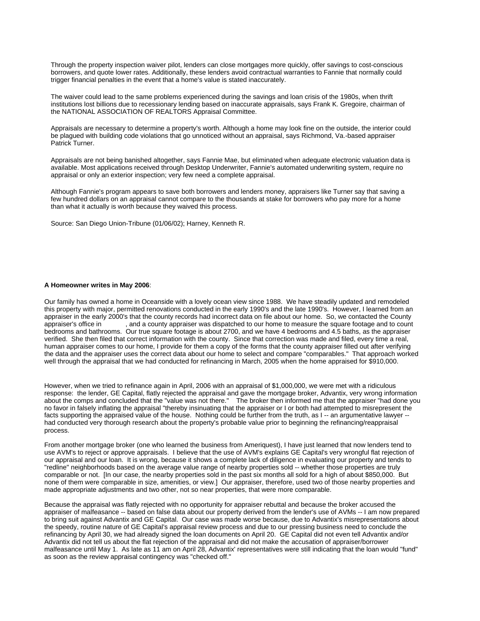Through the property inspection waiver pilot, lenders can close mortgages more quickly, offer savings to cost-conscious borrowers, and quote lower rates. Additionally, these lenders avoid contractual warranties to Fannie that normally could trigger financial penalties in the event that a home's value is stated inaccurately.

The waiver could lead to the same problems experienced during the savings and loan crisis of the 1980s, when thrift institutions lost billions due to recessionary lending based on inaccurate appraisals, says Frank K. Gregoire, chairman of the NATIONAL ASSOCIATION OF REALTORS Appraisal Committee.

Appraisals are necessary to determine a property's worth. Although a home may look fine on the outside, the interior could be plagued with building code violations that go unnoticed without an appraisal, says Richmond, Va.-based appraiser Patrick Turner.

Appraisals are not being banished altogether, says Fannie Mae, but eliminated when adequate electronic valuation data is available. Most applications received through Desktop Underwriter, Fannie's automated underwriting system, require no appraisal or only an exterior inspection; very few need a complete appraisal.

Although Fannie's program appears to save both borrowers and lenders money, appraisers like Turner say that saving a few hundred dollars on an appraisal cannot compare to the thousands at stake for borrowers who pay more for a home than what it actually is worth because they waived this process.

Source: San Diego Union-Tribune (01/06/02); Harney, Kenneth R.

# **A Homeowner writes in May 2006**:

Our family has owned a home in Oceanside with a lovely ocean view since 1988. We have steadily updated and remodeled this property with major, permitted renovations conducted in the early 1990's and the late 1990's. However, I learned from an appraiser in the early 2000's that the county records had incorrect data on file about our home. So, we contacted the County appraiser's office in , and a county appraiser was dispatched to our home to measure the square footage and to count bedrooms and bathrooms. Our true square footage is about 2700, and we have 4 bedrooms and 4.5 baths, as the appraiser verified. She then filed that correct information with the county. Since that correction was made and filed, every time a real, human appraiser comes to our home, I provide for them a copy of the forms that the county appraiser filled out after verifying the data and the appraiser uses the correct data about our home to select and compare "comparables." That approach worked well through the appraisal that we had conducted for refinancing in March, 2005 when the home appraised for \$910,000.

However, when we tried to refinance again in April, 2006 with an appraisal of \$1,000,000, we were met with a ridiculous response: the lender, GE Capital, flatly rejected the appraisal and gave the mortgage broker, Advantix, very wrong information about the comps and concluded that the "value was not there." The broker then informed me that the appraiser "had done you no favor in falsely inflating the appraisal "thereby insinuating that the appraiser or I or both had attempted to misrepresent the facts supporting the appraised value of the house. Nothing could be further from the truth, as I-- an argumentative lawyer -had conducted very thorough research about the property's probable value prior to beginning the refinancing/reappraisal process.

From another mortgage broker (one who learned the business from Ameriquest), I have just learned that now lenders tend to use AVM's to reject or approve appraisals. I believe that the use of AVM's explains GE Capital's very wrongful flat rejection of our appraisal and our loan. It is wrong, because it shows a complete lack of diligence in evaluating our property and tends to "redline" neighborhoods based on the average value range of nearby properties sold -- whether those properties are truly comparable or not. [In our case, the nearby properties sold in the past six months all sold for a high of about \$850,000. But none of them were comparable in size, amenities, or view.] Our appraiser, therefore, used two of those nearby properties and made appropriate adjustments and two other, not so near properties, that were more comparable.

Because the appraisal was flatly rejected with no opportunity for appraiser rebuttal and because the broker accused the appraiser of malfeasance -- based on false data about our property derived from the lender's use of AVMs -- I am now prepared to bring suit against Advantix and GE Capital. Our case was made worse because, due to Advantix's misrepresentations about the speedy, routine nature of GE Capital's appraisal review process and due to our pressing business need to conclude the refinancing by April 30, we had already signed the loan documents on April 20. GE Capital did not even tell Advantix and/or Advantix did not tell us about the flat rejection of the appraisal and did not make the accusation of appraiser/borrower malfeasance until May 1. As late as 11 am on April 28, Advantix' representatives were still indicating that the loan would "fund" as soon as the review appraisal contingency was "checked off."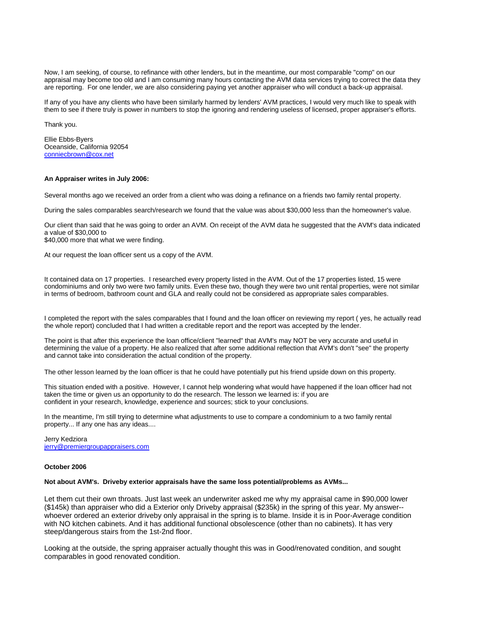Now, I am seeking, of course, to refinance with other lenders, but in the meantime, our most comparable "comp" on our appraisal may become too old and I am consuming many hours contacting the AVM data services trying to correct the data they are reporting. For one lender, we are also considering paying yet another appraiser who will conduct a back-up appraisal.

If any of you have any clients who have been similarly harmed by lenders' AVM practices, I would very much like to speak with them to see if there truly is power in numbers to stop the ignoring and rendering useless of licensed, proper appraiser's efforts.

Thank you.

Ellie Ebbs-Byers Oceanside, California 92054 conniecbrown@cox.net

## **An Appraiser writes in July 2006:**

Several months ago we received an order from a client who was doing a refinance on a friends two family rental property.

During the sales comparables search/research we found that the value was about \$30,000 less than the homeowner's value.

Our client than said that he was going to order an AVM. On receipt of the AVM data he suggested that the AVM's data indicated a value of \$30,000 to

\$40,000 more that what we were finding.

At our request the loan officer sent us a copy of the AVM.

It contained data on 17 properties. I researched every property listed in the AVM. Out of the 17 properties listed, 15 were condominiums and only two were two family units. Even these two, though they were two unit rental properties, were not similar in terms of bedroom, bathroom count and GLA and really could not be considered as appropriate sales comparables.

I completed the report with the sales comparables that I found and the loan officer on reviewing my report ( yes, he actually read the whole report) concluded that I had written a creditable report and the report was accepted by the lender.

The point is that after this experience the loan office/client "learned" that AVM's may NOT be very accurate and useful in determining the value of a property. He also realized that after some additional reflection that AVM's don't "see" the property and cannot take into consideration the actual condition of the property.

The other lesson learned by the loan officer is that he could have potentially put his friend upside down on this property.

This situation ended with a positive. However, I cannot help wondering what would have happened if the loan officer had not taken the time or given us an opportunity to do the research. The lesson we learned is: if you are confident in your research, knowledge, experience and sources; stick to your conclusions.

In the meantime, I'm still trying to determine what adjustments to use to compare a condominium to a two family rental property... If any one has any ideas....

Jerry Kedziora jerry@premiergroupappraisers.com

# **October 2006**

**Not about AVM's. Driveby exterior appraisals have the same loss potential/problems as AVMs...**

Let them cut their own throats. Just last week an underwriter asked me why my appraisal came in \$90,000 lower (\$145k) than appraiser who did a Exterior only Driveby appraisal (\$235k) in the spring of this year. My answer- whoever ordered an exterior driveby only appraisal in the spring is to blame. Inside it is in Poor-Average condition with NO kitchen cabinets. And it has additional functional obsolescence (other than no cabinets). It has very steep/dangerous stairs from the 1st-2nd floor.

Looking at the outside, the spring appraiser actually thought this was in Good/renovated condition, and sought comparables in good renovated condition.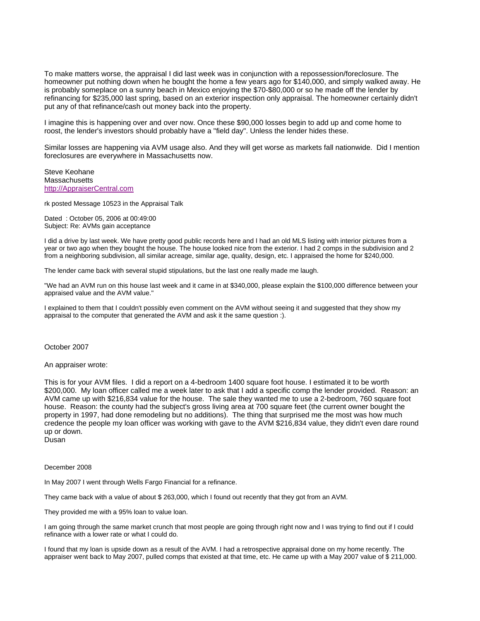To make matters worse, the appraisal I did last week was in conjunction with a repossession/foreclosure. The homeowner put nothing down when he bought the home a few years ago for \$140,000, and simply walked away. He is probably someplace on a sunny beach in Mexico enjoying the \$70-\$80,000 or so he made off the lender by refinancing for \$235,000 last spring, based on an exterior inspection only appraisal. The homeowner certainly didn't put any of that refinance/cash out money back into the property.

I imagine this is happening over and over now. Once these \$90,000 losses begin to add up and come home to roost, the lender's investors should probably have a "field day". Unless the lender hides these.

Similar losses are happening via AVM usage also. And they will get worse as markets fall nationwide. Did I mention foreclosures are everywhere in Massachusetts now.

Steve Keohane **Massachusetts** http://AppraiserCentral.com

rk posted Message 10523 in the Appraisal Talk

Dated : October 05, 2006 at 00:49:00 Subject: Re: AVMs gain acceptance

I did a drive by last week. We have pretty good public records here and I had an old MLS listing with interior pictures from a year or two ago when they bought the house. The house looked nice from the exterior. I had 2 comps in the subdivision and 2 from a neighboring subdivision, all similar acreage, similar age, quality, design, etc. I appraised the home for \$240,000.

The lender came back with several stupid stipulations, but the last one really made me laugh.

"We had an AVM run on this house last week and it came in at \$340,000, please explain the \$100,000 difference between your appraised value and the AVM value."

I explained to them that I couldn't possibly even comment on the AVM without seeing it and suggested that they show my appraisal to the computer that generated the AVM and ask it the same question :).

October 2007

An appraiser wrote:

This is for your AVM files. I did a report on a 4-bedroom 1400 square foot house. I estimated it to be worth \$200,000. My loan officer called me a week later to ask that I add a specific comp the lender provided. Reason: an AVM came up with \$216,834 value for the house. The sale they wanted me to use a 2-bedroom, 760 square foot house. Reason: the county had the subject's gross living area at 700 square feet (the current owner bought the property in 1997, had done remodeling but no additions). The thing that surprised me the most was how much credence the people my loan officer was working with gave to the AVM \$216,834 value, they didn't even dare round up or down.

Dusan

December 2008

In May 2007 I went through Wells Fargo Financial for a refinance.

They came back with a value of about \$ 263,000, which I found out recently that they got from an AVM.

They provided me with a 95% loan to value loan.

I am going through the same market crunch that most people are going through right now and I was trying to find out if I could refinance with a lower rate or what I could do.

I found that my loan is upside down as a result of the AVM. I had a retrospective appraisal done on my home recently. The appraiser went back to May 2007, pulled comps that existed at that time, etc. He came up with a May 2007 value of \$ 211,000.